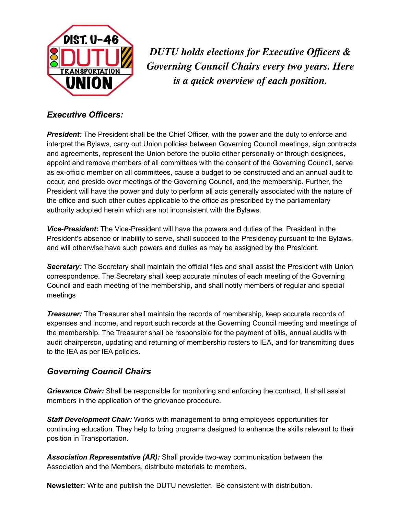

*DUTU holds elections for Executive Officers & Governing Council Chairs every two years. Here is a quick overview of each position.*

## *Executive Officers:*

**President:** The President shall be the Chief Officer, with the power and the duty to enforce and interpret the Bylaws, carry out Union policies between Governing Council meetings, sign contracts and agreements, represent the Union before the public either personally or through designees, appoint and remove members of all committees with the consent of the Governing Council, serve as ex-officio member on all committees, cause a budget to be constructed and an annual audit to occur, and preside over meetings of the Governing Council, and the membership. Further, the President will have the power and duty to perform all acts generally associated with the nature of the office and such other duties applicable to the office as prescribed by the parliamentary authority adopted herein which are not inconsistent with the Bylaws.

*Vice-President:* The Vice-President will have the powers and duties of the President in the President's absence or inability to serve, shall succeed to the Presidency pursuant to the Bylaws, and will otherwise have such powers and duties as may be assigned by the President.

*Secretary:* The Secretary shall maintain the official files and shall assist the President with Union correspondence. The Secretary shall keep accurate minutes of each meeting of the Governing Council and each meeting of the membership, and shall notify members of regular and special meetings

**Treasurer:** The Treasurer shall maintain the records of membership, keep accurate records of expenses and income, and report such records at the Governing Council meeting and meetings of the membership. The Treasurer shall be responsible for the payment of bills, annual audits with audit chairperson, updating and returning of membership rosters to IEA, and for transmitting dues to the IEA as per IEA policies.

## *Governing Council Chairs*

*Grievance Chair:* Shall be responsible for monitoring and enforcing the contract. It shall assist members in the application of the grievance procedure.

*Staff Development Chair:* Works with management to bring employees opportunities for continuing education. They help to bring programs designed to enhance the skills relevant to their position in Transportation.

*Association Representative (AR):* Shall provide two-way communication between the Association and the Members, distribute materials to members.

**Newsletter:** Write and publish the DUTU newsletter. Be consistent with distribution.